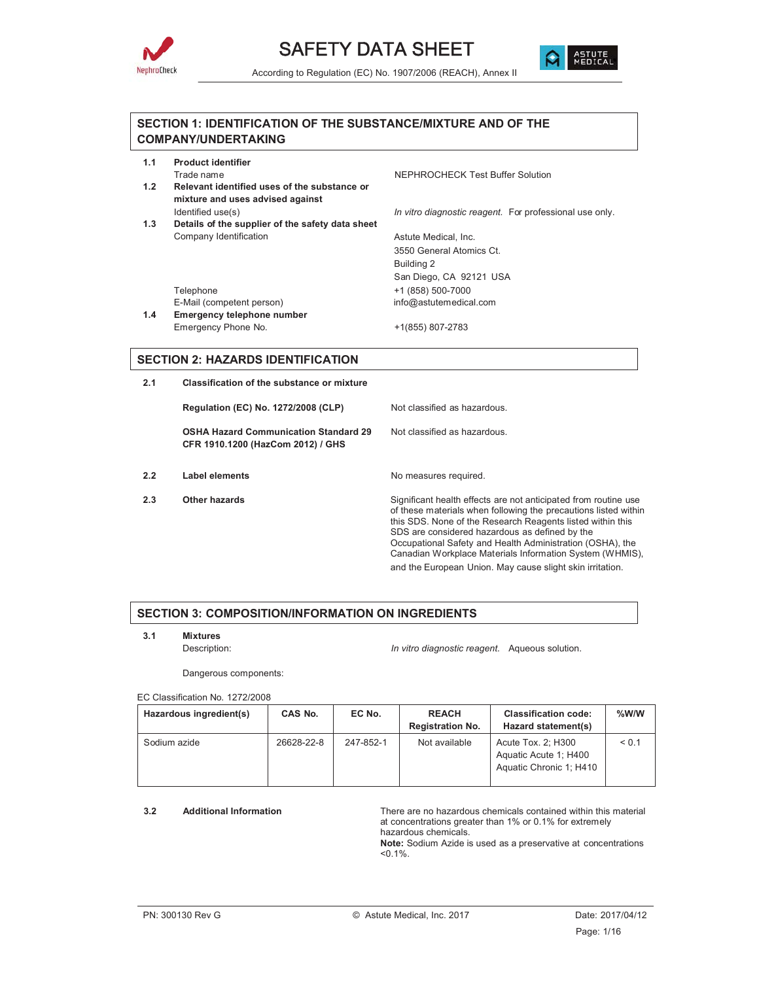



#### **SECTION 1: IDENTIFICATION OF THE SUBSTANCE/MIXTURE AND OF THE COMPANY/UNDERTAKING**

| 1.1 | <b>Product identifier</b> |  |
|-----|---------------------------|--|
|     | Trade name                |  |

- **1.2 Relevant identified uses of the substance or mixture and uses advised against**
- **1.3 Details of the supplier of the safety data sheet** Company Identification Company Identification Astute Medical, Inc.

NEPHROCHECK Test Buffer Solution

Identified use(s) *In vitro diagnostic reagent.* For professional use only.

3550 General Atomics Ct. Building 2 San Diego, CA 92121 USA Telephone +1 (858) 500-7000 E-Mail (competent person) info@astutemedical.com

**1.4 Emergency telephone number** Emergency Phone No. +1(855) 807-2783

#### **SECTION 2: HAZARDS IDENTIFICATION**

**2.1 Classification of the substance or mixture**

**Regulation (EC) No. 1272/2008 (CLP)** Not classified as hazardous.

**OSHA Hazard Communication Standard 29 CFR 1910.1200 (HazCom 2012) / GHS**

- **2.2** Label elements **No measures required.**
- 

Not classified as hazardous.

**2.3** Other hazards **Significant health effects are not anticipated from routine use** of these materials when following the precautions listed within this SDS. None of the Research Reagents listed within this SDS are considered hazardous as defined by the Occupational Safety and Health Administration (OSHA), the Canadian Workplace Materials Information System (WHMIS), and the European Union. May cause slight skin irritation.

#### **SECTION 3: COMPOSITION/INFORMATION ON INGREDIENTS**

**3.1 Mixtures**

Description: *In vitro diagnostic reagent.* Aqueous solution.

Dangerous components:

EC Classification No. 1272/2008

| Hazardous ingredient(s) | CAS No.    | EC No.    | <b>REACH</b><br><b>Registration No.</b> | <b>Classification code:</b><br>Hazard statement(s)                     | $%$ W/W |
|-------------------------|------------|-----------|-----------------------------------------|------------------------------------------------------------------------|---------|
| Sodium azide            | 26628-22-8 | 247-852-1 | Not available                           | Acute Tox. 2; H300<br>Aquatic Acute 1; H400<br>Aquatic Chronic 1; H410 | < 0.1   |

**3.2 Additional Information** There are no hazardous chemicals contained within this material at concentrations greater than 1% or 0.1% for extremely hazardous chemicals.

**Note:** Sodium Azide is used as a preservative at concentrations  $< 0.1\%$ .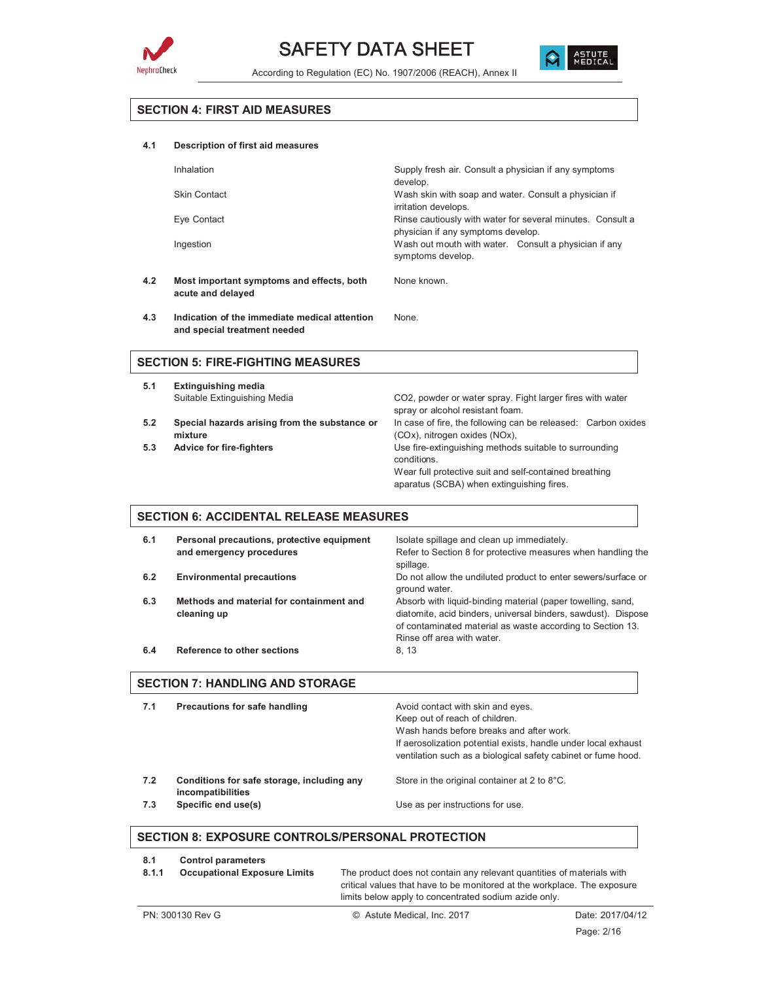



#### **SECTION 4: FIRST AID MEASURES**

#### **4.1 Description of first aid measures**

| Inhalation                                | Supply fresh air. Consult a physician if any symptoms<br>develop.                                |  |
|-------------------------------------------|--------------------------------------------------------------------------------------------------|--|
| <b>Skin Contact</b>                       | Wash skin with soap and water. Consult a physician if<br>irritation develops.                    |  |
| Eye Contact                               | Rinse cautiously with water for several minutes. Consult a<br>physician if any symptoms develop. |  |
| Ingestion                                 | Wash out mouth with water. Consult a physician if any<br>symptoms develop.                       |  |
| Most important symptoms and effects, both | None known.                                                                                      |  |

**4.2 Most important symptoms and effects, both acute and delayed**

**4.3 Indication of the immediate medical attention and special treatment needed** None.

#### **SECTION 5: FIRE-FIGHTING MEASURES**

| 5.1 | <b>Extinguishing media</b>                               |                                                                                                |
|-----|----------------------------------------------------------|------------------------------------------------------------------------------------------------|
|     | Suitable Extinguishing Media                             | CO2, powder or water spray. Fight larger fires with water<br>spray or alcohol resistant foam.  |
| 5.2 | Special hazards arising from the substance or<br>mixture | In case of fire, the following can be released: Carbon oxides<br>(COx), nitrogen oxides (NOx), |
| 5.3 | <b>Advice for fire-fighters</b>                          | Use fire-extinguishing methods suitable to surrounding<br>conditions.                          |
|     |                                                          | Wear full protective suit and self-contained breathing                                         |
|     |                                                          | aparatus (SCBA) when extinguishing fires.                                                      |

#### **SECTION 6: ACCIDENTAL RELEASE MEASURES**

| 6.1 | Personal precautions, protective equipment<br>and emergency procedures | Isolate spillage and clean up immediately.<br>Refer to Section 8 for protective measures when handling the<br>spillage.                                                                                                  |
|-----|------------------------------------------------------------------------|--------------------------------------------------------------------------------------------------------------------------------------------------------------------------------------------------------------------------|
| 6.2 | <b>Environmental precautions</b>                                       | Do not allow the undiluted product to enter sewers/surface or<br>ground water.                                                                                                                                           |
| 6.3 | Methods and material for containment and<br>cleaning up                | Absorb with liquid-binding material (paper towelling, sand,<br>diatomite, acid binders, universal binders, sawdust). Dispose<br>of contaminated material as waste according to Section 13.<br>Rinse off area with water. |
| 6.4 | <b>Reference to other sections</b>                                     | 8.13                                                                                                                                                                                                                     |

#### **SECTION 7: HANDLING AND STORAGE**

| 7.1 | Precautions for safe handling                                   | Avoid contact with skin and eyes.<br>Keep out of reach of children.<br>Wash hands before breaks and after work.<br>If aerosolization potential exists, handle under local exhaust<br>ventilation such as a biological safety cabinet or fume hood. |
|-----|-----------------------------------------------------------------|----------------------------------------------------------------------------------------------------------------------------------------------------------------------------------------------------------------------------------------------------|
| 7.2 | Conditions for safe storage, including any<br>incompatibilities | Store in the original container at 2 to 8°C.                                                                                                                                                                                                       |
| 7.3 | Specific end use(s)                                             | Use as per instructions for use.                                                                                                                                                                                                                   |

#### **SECTION 8: EXPOSURE CONTROLS/PERSONAL PROTECTION**

| 8.1   | <b>Control parameters</b>           |                                                                          |
|-------|-------------------------------------|--------------------------------------------------------------------------|
| 8.1.1 | <b>Occupational Exposure Limits</b> | The product does not contain any relevant quantities of materials with   |
|       |                                     | critical values that have to be monitored at the workplace. The exposure |
|       |                                     | limits below apply to concentrated sodium azide only.                    |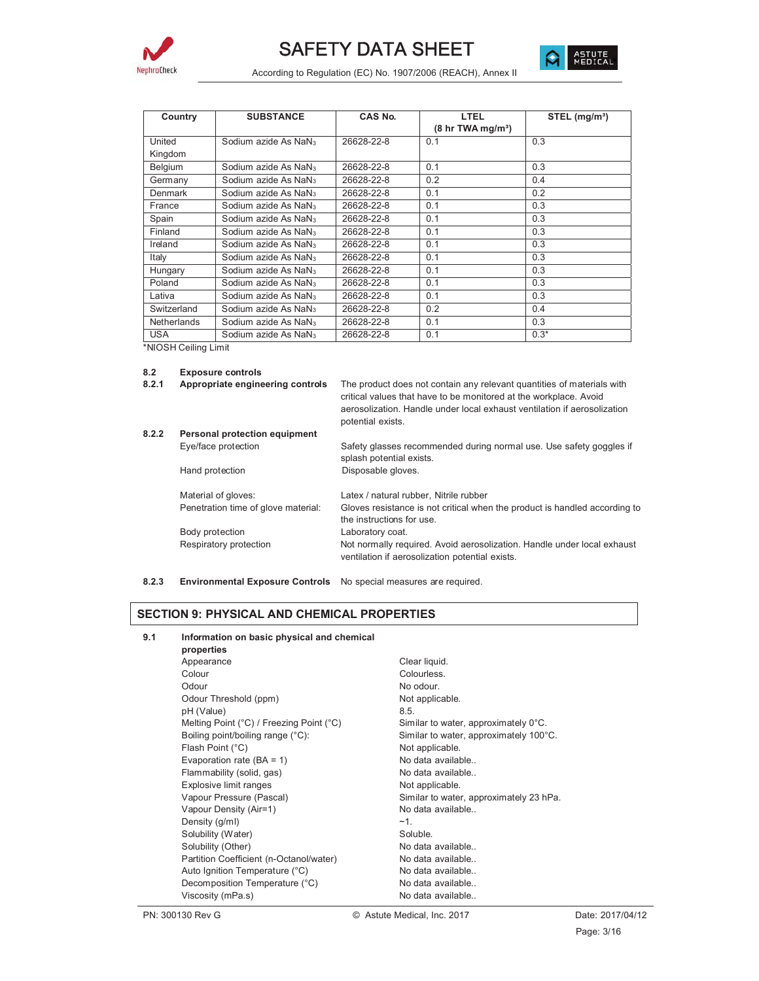



| Country        | <b>SUBSTANCE</b>                 | CAS No.    | LTEL                                        | STEL (mg/m <sup>3</sup> ) |
|----------------|----------------------------------|------------|---------------------------------------------|---------------------------|
|                |                                  |            | $(8 \text{ hr} \text{ TWA} \text{ mg/m}^3)$ |                           |
| United         | Sodium azide As NaN <sub>3</sub> | 26628-22-8 | 0.1                                         | 0.3                       |
| Kingdom        |                                  |            |                                             |                           |
| <b>Belgium</b> | Sodium azide As NaN <sub>3</sub> | 26628-22-8 | 0.1                                         | 0.3                       |
| Germany        | Sodium azide As NaN <sub>3</sub> | 26628-22-8 | 0.2                                         | 0.4                       |
| Denmark        | Sodium azide As NaN <sub>3</sub> | 26628-22-8 | 0.1                                         | 0.2                       |
| France         | Sodium azide As NaN <sub>3</sub> | 26628-22-8 | 0.1                                         | 0.3                       |
| Spain          | Sodium azide As NaN <sub>3</sub> | 26628-22-8 | 0.1                                         | 0.3                       |
| Finland        | Sodium azide As NaN <sub>3</sub> | 26628-22-8 | 0.1                                         | 0.3                       |
| Ireland        | Sodium azide As NaN <sub>3</sub> | 26628-22-8 | 0.1                                         | 0.3                       |
| Italy          | Sodium azide As NaN <sub>3</sub> | 26628-22-8 | 0.1                                         | 0.3                       |
| Hungary        | Sodium azide As NaN <sub>3</sub> | 26628-22-8 | 0.1                                         | 0.3                       |
| Poland         | Sodium azide As NaN <sub>3</sub> | 26628-22-8 | 0.1                                         | 0.3                       |
| Lativa         | Sodium azide As NaN <sub>3</sub> | 26628-22-8 | 0.1                                         | 0.3                       |
| Switzerland    | Sodium azide As NaN <sub>3</sub> | 26628-22-8 | 0.2                                         | 0.4                       |
| Netherlands    | Sodium azide As NaN <sub>3</sub> | 26628-22-8 | 0.1                                         | 0.3                       |
| <b>USA</b>     | Sodium azide As NaN <sub>3</sub> | 26628-22-8 | 0.1                                         | $0.3*$                    |

\*NIOSH Ceiling Limit

#### **8.2 Exposure controls**

| 8.2.1 | Appropriate engineering controls |  |
|-------|----------------------------------|--|
|       |                                  |  |

The product does not contain any relevant quantities of materials with critical values that have to be monitored at the workplace. Avoid aerosolization. Handle under local exhaust ventilation if aerosolization potential exists.

| 8.2.2 | Personal protection equipment       |                                                                                                                            |  |  |
|-------|-------------------------------------|----------------------------------------------------------------------------------------------------------------------------|--|--|
|       | Eye/face protection                 | Safety glasses recommended during normal use. Use safety goggles if<br>splash potential exists.                            |  |  |
|       | Hand protection                     | Disposable gloves.                                                                                                         |  |  |
|       | Material of gloves:                 | Latex / natural rubber, Nitrile rubber                                                                                     |  |  |
|       | Penetration time of glove material: | Gloves resistance is not critical when the product is handled according to<br>the instructions for use.                    |  |  |
|       | Body protection                     | Laboratory coat.                                                                                                           |  |  |
|       | Respiratory protection              | Not normally required. Avoid aerosolization. Handle under local exhaust<br>ventilation if aerosolization potential exists. |  |  |

**8.2.3 Environmental Exposure Controls** No special measures are required.

#### **SECTION 9: PHYSICAL AND CHEMICAL PROPERTIES**

| 9.1 | Information on basic physical and chemical |                                         |  |  |
|-----|--------------------------------------------|-----------------------------------------|--|--|
|     | properties                                 |                                         |  |  |
|     | Appearance                                 | Clear liquid.                           |  |  |
|     | Colour                                     | Colourless.                             |  |  |
|     | Odour                                      | No odour.                               |  |  |
|     | Odour Threshold (ppm)                      | Not applicable.                         |  |  |
|     | pH (Value)                                 | 8.5.                                    |  |  |
|     | Melting Point (°C) / Freezing Point (°C)   | Similar to water, approximately 0°C.    |  |  |
|     | Boiling point/boiling range (°C):          | Similar to water, approximately 100°C.  |  |  |
|     | Flash Point (°C)                           | Not applicable.                         |  |  |
|     | Evaporation rate $(BA = 1)$                | No data available                       |  |  |
|     | Flammability (solid, gas)                  | No data available                       |  |  |
|     | Explosive limit ranges                     | Not applicable.                         |  |  |
|     | Vapour Pressure (Pascal)                   | Similar to water, approximately 23 hPa. |  |  |
|     | Vapour Density (Air=1)                     | No data available                       |  |  |
|     | Density (q/ml)                             | $~1$ .                                  |  |  |
|     | Solubility (Water)                         | Soluble.                                |  |  |
|     | Solubility (Other)                         | No data available                       |  |  |
|     | Partition Coefficient (n-Octanol/water)    | No data available                       |  |  |
|     | Auto Ignition Temperature (°C)             | No data available                       |  |  |
|     | Decomposition Temperature (°C)             | No data available                       |  |  |
|     | Viscosity (mPa.s)                          | No data available                       |  |  |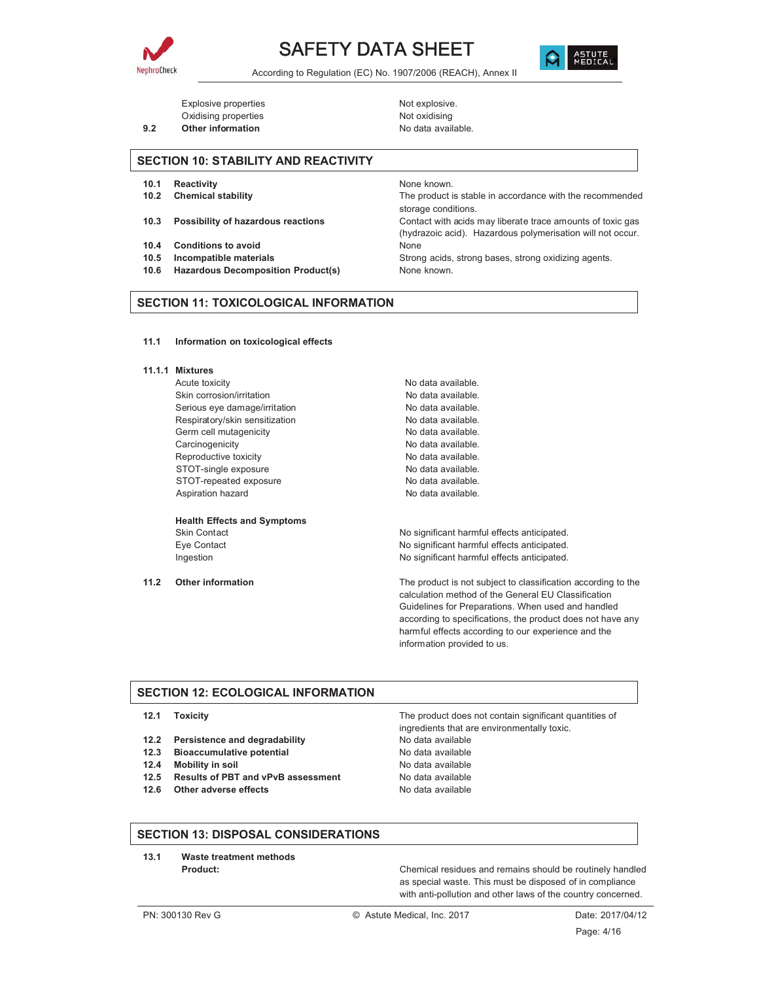





Explosive properties explosive. Oxidising properties Not oxidising

**9.2** Other information **COVID-100** No data available.

#### **SECTION 10: STABILITY AND REACTIVITY**

- **10.1 Reactivity 10.1** Reactivity
- 
- 
- **10.4 Conditions to avoid** None
- 
- **10.6 Hazardous Decomposition Product(s)** None known.

**10.2 Chemical stability** The product is stable in accordance with the recommended storage conditions.

**10.3 Possibility of hazardous reactions** Contact with acids may liberate trace amounts of toxic gas (hydrazoic acid). Hazardous polymerisation will not occur.

**10.5 Incompatible materials 10.5 Incompatible materials** Strong acids, strong bases, strong oxidizing agents.

#### **SECTION 11: TOXICOLOGICAL INFORMATION**

**11.1 Information on toxicological effects**

#### **11.1.1 Mixtures**

Acute toxicity **No data available.** Skin corrosion/irritation No data available. Serious eye damage/irritation No data available. Respiratory/skin sensitization No data available. Germ cell mutagenicity example and the No data available. Carcinogenicity **No data available.** Reproductive toxicity<br>STOT-single exposure<br>No data available. STOT-single exposure STOT-repeated exposure No data available. Aspiration hazard **No data available.** No data available.

# **Health Effects and Symptoms**

Skin Contact Skin Contact Contact Contact Contact Contact Contact Contact Contact Contact Contact Contact Contact No significant harmful effects anticipated. Eye Contact **No significant harmful effects anticipated.** No significant harmful effects anticipated. Ingestion **Ingestion** No significant harmful effects anticipated.

**11.2 Other information** The product is not subject to classification according to the calculation method of the General EU Classification Guidelines for Preparations. When used and handled according to specifications, the product does not have any harmful effects according to our experience and the information provided to us.

#### **SECTION 12: ECOLOGICAL INFORMATION**

- 
- **12.2 Persistence and degradability** No data available
- **12.3 Bioaccumulative potential Mate 12.3 No data available**
- **12.4 Mobility in soil** No data available
- **12.5 Results of PBT and vPvB assessment** No data available
- **12.6 Other adverse effects** No data available

**12.1 Toxicity** The product does not contain significant quantities of ingredients that are environmentally toxic.

#### **SECTION 13: DISPOSAL CONSIDERATIONS**

**13.1 Waste treatment methods**

**Product: Product: Product: Chemical residues and remains should be routinely handled** as special waste. This must be disposed of in compliance with anti-pollution and other laws of the country concerned.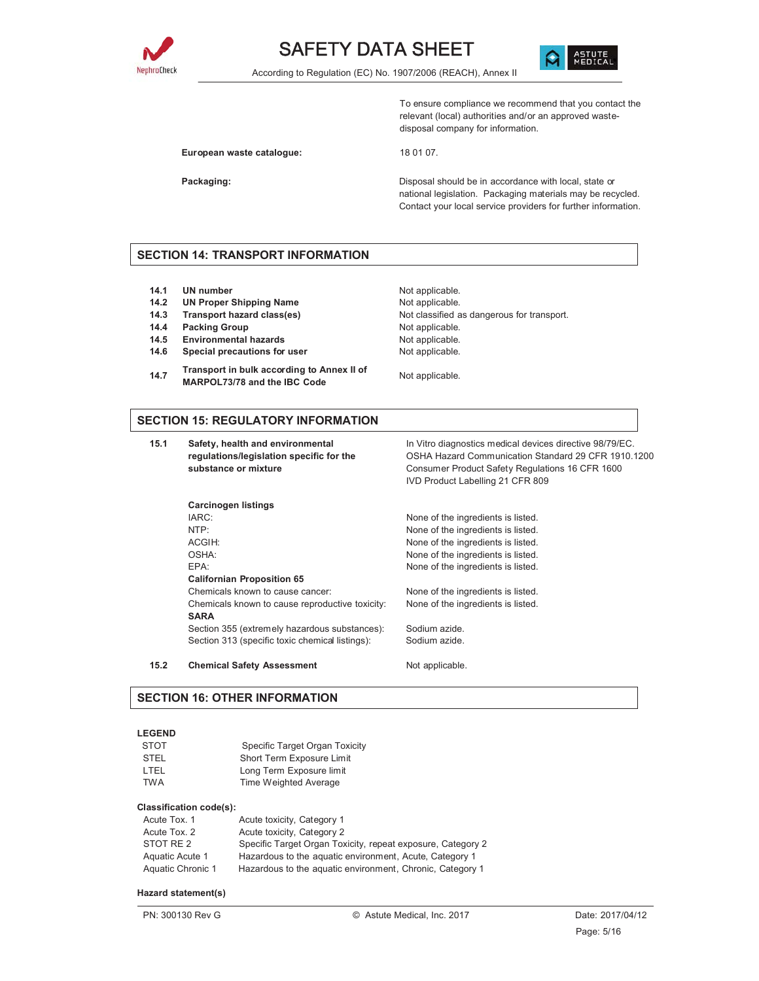



To ensure compliance we recommend that you contact the relevant (local) authorities and/or an approved wastedisposal company for information.

European waste catalogue: 18 01 07.

**Packaging: Packaging: Packaging: Disposal should be in accordance with local, state or** national legislation. Packaging materials may be recycled. Contact your local service providers for further information.

#### **SECTION 14: TRANSPORT INFORMATION**

- **14.1 UN number** Not applicable.
- **14.2 UN Proper Shipping Name** Not applicable.<br>**14.3 Transport hazard class(es)** Not classified a
- 
- **14.4 Packing Group Case Contract Contract Packing Group** Not applicable.
- 14.5 Environmental hazards Not applicable.
- 14.6 Special precautions for user **Not** applicable.
- **14.7 Transport in bulk according to Annex II of MARPOL73/78 and the IBC Code** MARPOL73/78 and the IBC Code
- **14.3 Transport hazard class(es)** Not classified as dangerous for transport.

#### **SECTION 15: REGULATORY INFORMATION**

**15.1 Safety, health and environmental regulations/legislation specific for the substance or mixture**

In Vitro diagnostics medical devices directive 98/79/EC. OSHA Hazard Communication Standard 29 CFR 1910.1200 Consumer Product Safety Regulations 16 CFR 1600 IVD Product Labelling 21 CFR 809

| <b>Carcinogen listings</b>                      |                                    |
|-------------------------------------------------|------------------------------------|
| IARC:                                           | None of the ingredients is listed. |
| NTP:                                            | None of the ingredients is listed. |
| ACGIH:                                          | None of the ingredients is listed. |
| OSHA:                                           | None of the ingredients is listed. |
| FPA <sup>.</sup>                                | None of the ingredients is listed. |
| <b>Californian Proposition 65</b>               |                                    |
| Chemicals known to cause cancer:                | None of the ingredients is listed. |
| Chemicals known to cause reproductive toxicity: | None of the ingredients is listed. |
| <b>SARA</b>                                     |                                    |
| Section 355 (extremely hazardous substances):   | Sodium azide.                      |
| Section 313 (specific toxic chemical listings): | Sodium azide.                      |

15.2 Chemical Safety Assessment Not applicable.

#### **SECTION 16: OTHER INFORMATION**

#### **LEGEND**

| <b>STOT</b> | Specific Target Organ Toxicity |
|-------------|--------------------------------|
| <b>STEL</b> | Short Term Exposure Limit      |
| I TFI       | Long Term Exposure limit       |
| TWA         | Time Weighted Average          |

#### **Classification code(s):**

| Acute Tox, 1      | Acute toxicity, Category 1                                  |
|-------------------|-------------------------------------------------------------|
| Acute Tox. 2      | Acute toxicity, Category 2                                  |
| STOT RE 2         | Specific Target Organ Toxicity, repeat exposure, Category 2 |
| Aquatic Acute 1   | Hazardous to the aquatic environment, Acute, Category 1     |
| Aquatic Chronic 1 | Hazardous to the aquatic environment, Chronic, Category 1   |

#### **Hazard statement(s)**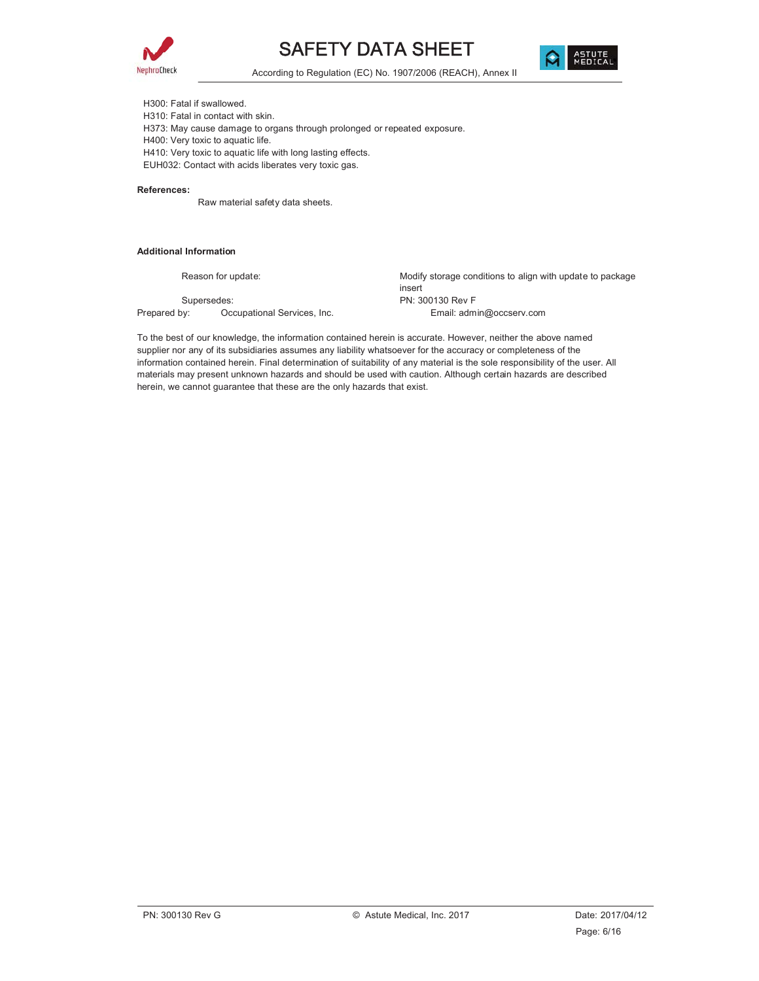



According to Regulation (EC) No. 1907/2006 (REACH), Annex II

H300: Fatal if swallowed. H310: Fatal in contact with skin.

H373: May cause damage to organs through prolonged or repeated exposure.

H400: Very toxic to aquatic life.

H410: Very toxic to aquatic life with long lasting effects.

EUH032: Contact with acids liberates very toxic gas.

#### **References:**

Raw material safety data sheets.

#### **Additional Information**

Reason for update: example and the Modify storage conditions to align with update to package insert Supersedes: PN: 300130 Rev F Prepared by: Occupational Services, Inc. The Email: admin@occserv.com

To the best of our knowledge, the information contained herein is accurate. However, neither the above named supplier nor any of its subsidiaries assumes any liability whatsoever for the accuracy or completeness of the information contained herein. Final determination of suitability of any material is the sole responsibility of the user. All materials may present unknown hazards and should be used with caution. Although certain hazards are described herein, we cannot guarantee that these are the only hazards that exist.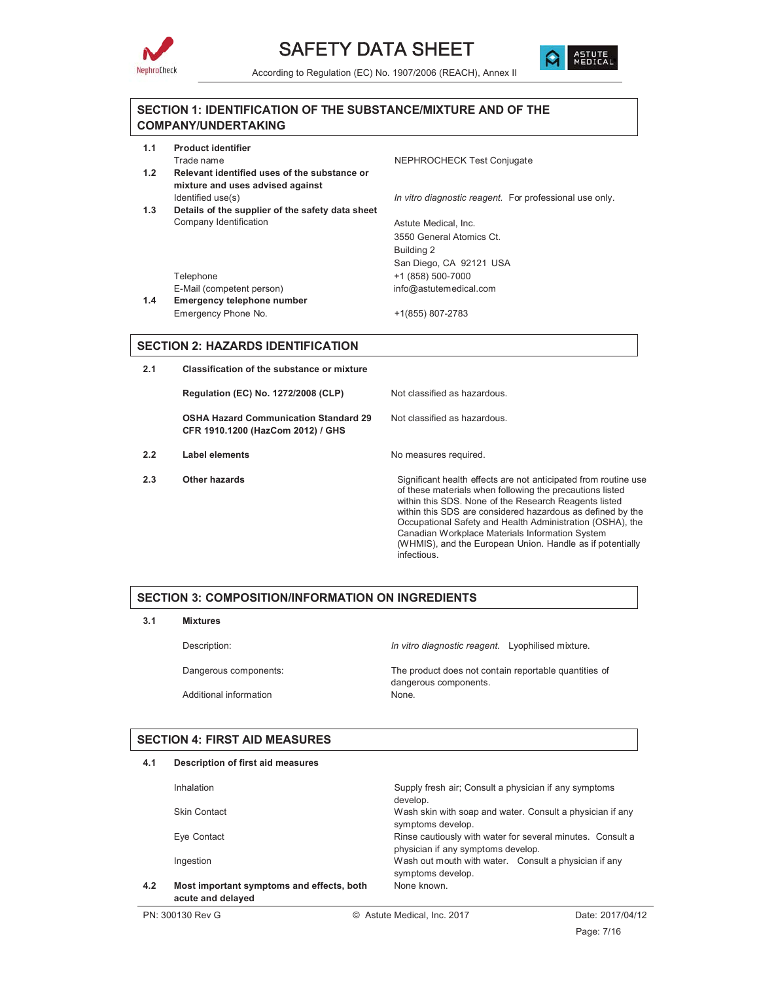



#### **SECTION 1: IDENTIFICATION OF THE SUBSTANCE/MIXTURE AND OF THE COMPANY/UNDERTAKING**

| 1.1<br>1.2 | <b>Product identifier</b><br>Trade name<br>Relevant identified uses of the substance or | NEPHROCHECK Test Conjugate                              |
|------------|-----------------------------------------------------------------------------------------|---------------------------------------------------------|
|            | mixture and uses advised against<br>Identified use(s)                                   | In vitro diagnostic reagent. For professional use only. |
| 1.3        | Details of the supplier of the safety data sheet                                        |                                                         |
|            | Company Identification                                                                  | Astute Medical, Inc.                                    |
|            |                                                                                         | 3550 General Atomics Ct.                                |
|            |                                                                                         | Building 2                                              |
|            |                                                                                         | San Diego, CA 92121 USA                                 |
|            | Telephone                                                                               | +1 (858) 500-7000                                       |
|            | E-Mail (competent person)                                                               | info@astutemedical.com                                  |
| 1.4        | Emergency telephone number                                                              |                                                         |
|            | Emergency Phone No.                                                                     | +1(855) 807-2783                                        |
|            |                                                                                         |                                                         |

#### **SECTION 2: HAZARDS IDENTIFICATION**

**2.1 Classification of the substance or mixture Regulation (EC) No. 1272/2008 (CLP)** Not classified as hazardous. **OSHA Hazard Communication Standard 29 CFR 1910.1200 (HazCom 2012) / GHS** Not classified as hazardous. **2.2** Label elements No measures required. **2.3** Other hazards **Significant health effects are not anticipated from routine use** of these materials when following the precautions listed within this SDS. None of the Research Reagents listed within this SDS are considered hazardous as defined by the Occupational Safety and Health Administration (OSHA), the Canadian Workplace Materials Information System (WHMIS), and the European Union. Handle as if potentially

infectious.

#### **SECTION 3: COMPOSITION/INFORMATION ON INGREDIENTS**

**3.1 Mixtures**

Additional information

Description: *In vitro diagnostic reagent.* Lyophilised mixture.

Dangerous components: The product does not contain reportable quantities of dangerous components.<br>None.

#### **SECTION 4: FIRST AID MEASURES**

| 4.1 | Description of first aid measures                              |                                                                                                  |
|-----|----------------------------------------------------------------|--------------------------------------------------------------------------------------------------|
|     | Inhalation                                                     | Supply fresh air; Consult a physician if any symptoms<br>develop.                                |
|     | <b>Skin Contact</b>                                            | Wash skin with soap and water. Consult a physician if any<br>symptoms develop.                   |
|     | Eye Contact                                                    | Rinse cautiously with water for several minutes. Consult a<br>physician if any symptoms develop. |
|     | Ingestion                                                      | Wash out mouth with water. Consult a physician if any<br>symptoms develop.                       |
| 4.2 | Most important symptoms and effects, both<br>acute and delayed | None known.                                                                                      |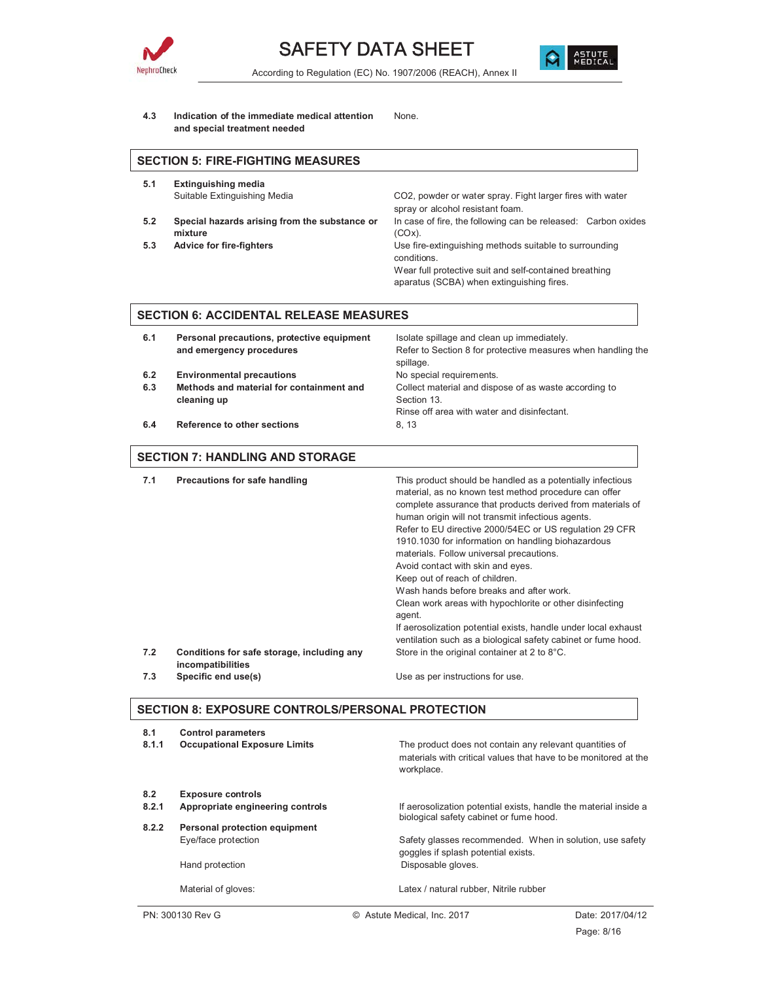



**4.3 Indication of the immediate medical attention and special treatment needed** None.

# **SECTION 5: FIRE-FIGHTING MEASURES**

- **5.1 Extinguishing media**
- **5.2 Special hazards arising from the substance or mixture**
- 

Suitable Extinguishing Media CO2, powder or water spray. Fight larger fires with water spray or alcohol resistant foam. In case of fire, the following can be released: Carbon oxides (COx). **5.3 Advice for fire-fighters** Use fire-extinguishing methods suitable to surrounding conditions. Wear full protective suit and self-contained breathing

aparatus (SCBA) when extinguishing fires.

#### **SECTION 6: ACCIDENTAL RELEASE MEASURES**

| 6.1 | Personal precautions, protective equipment | Isolate spillage and clean up immediately.                                |
|-----|--------------------------------------------|---------------------------------------------------------------------------|
|     | and emergency procedures                   | Refer to Section 8 for protective measures when handling the<br>spillage. |
| 6.2 | <b>Environmental precautions</b>           | No special requirements.                                                  |
| 6.3 | Methods and material for containment and   | Collect material and dispose of as waste according to                     |
|     | cleaning up                                | Section 13.                                                               |
|     |                                            | Rinse off area with water and disinfectant.                               |
| 6.4 | Reference to other sections                | 8.13                                                                      |
|     |                                            |                                                                           |

#### **SECTION 7: HANDLING AND STORAGE**

| 7.1 | Precautions for safe handling                                   | This product should be handled as a potentially infectious<br>material, as no known test method procedure can offer<br>complete assurance that products derived from materials of<br>human origin will not transmit infectious agents.<br>Refer to EU directive 2000/54EC or US regulation 29 CFR<br>1910.1030 for information on handling biohazardous<br>materials. Follow universal precautions.<br>Avoid contact with skin and eyes.<br>Keep out of reach of children.<br>Wash hands before breaks and after work.<br>Clean work areas with hypochlorite or other disinfecting<br>agent.<br>If aerosolization potential exists, handle under local exhaust<br>ventilation such as a biological safety cabinet or fume hood. |
|-----|-----------------------------------------------------------------|---------------------------------------------------------------------------------------------------------------------------------------------------------------------------------------------------------------------------------------------------------------------------------------------------------------------------------------------------------------------------------------------------------------------------------------------------------------------------------------------------------------------------------------------------------------------------------------------------------------------------------------------------------------------------------------------------------------------------------|
| 7.2 | Conditions for safe storage, including any<br>incompatibilities | Store in the original container at 2 to 8°C.                                                                                                                                                                                                                                                                                                                                                                                                                                                                                                                                                                                                                                                                                    |
| 7.3 | Specific end use(s)                                             | Use as per instructions for use.                                                                                                                                                                                                                                                                                                                                                                                                                                                                                                                                                                                                                                                                                                |

#### **SECTION 8: EXPOSURE CONTROLS/PERSONAL PROTECTION**

| 8.1<br>8.1.1 | <b>Control parameters</b><br><b>Occupational Exposure Limits</b> | The product does not contain any relevant quantities of<br>materials with critical values that have to be monitored at the<br>workplace. |
|--------------|------------------------------------------------------------------|------------------------------------------------------------------------------------------------------------------------------------------|
| 8.2          | <b>Exposure controls</b>                                         |                                                                                                                                          |
| 8.2.1        | Appropriate engineering controls                                 | If aerosolization potential exists, handle the material inside a<br>biological safety cabinet or fume hood.                              |
| 8.2.2        | Personal protection equipment                                    |                                                                                                                                          |
|              | Eye/face protection                                              | Safety glasses recommended. When in solution, use safety<br>goggles if splash potential exists.                                          |
|              | Hand protection                                                  | Disposable gloves.                                                                                                                       |
|              | Material of gloves:                                              | Latex / natural rubber. Nitrile rubber                                                                                                   |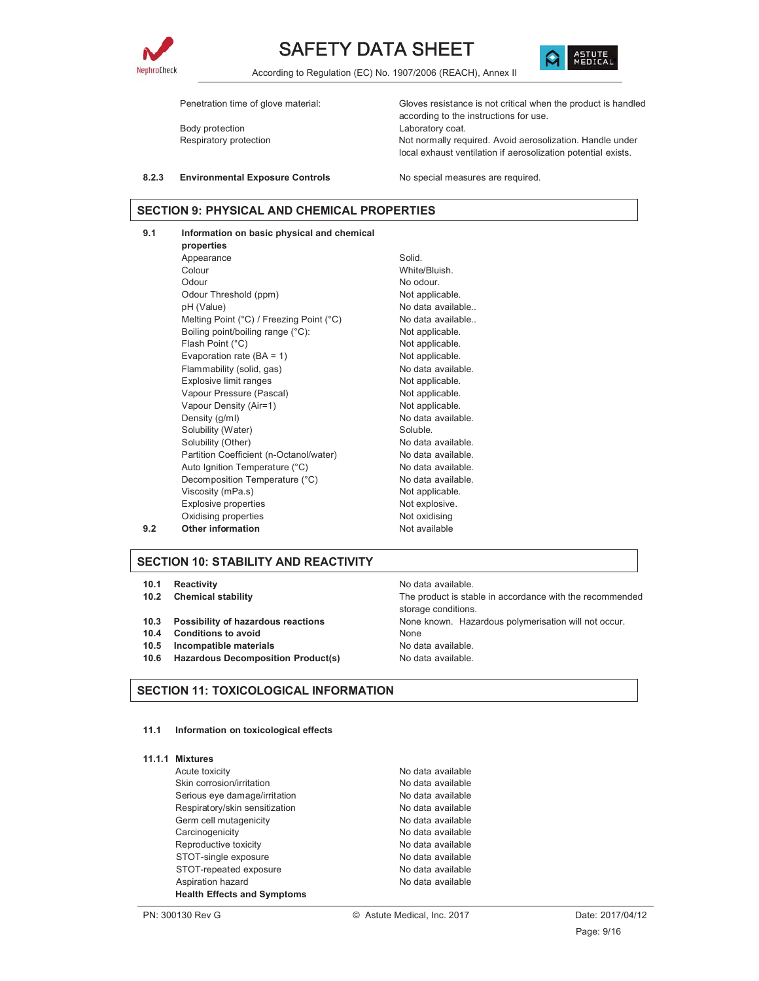



According to Regulation (EC) No. 1907/2006 (REACH), Annex II

Body protection extensive community and the Laboratory coat.

Penetration time of glove material: Gloves resistance is not critical when the product is handled according to the instructions for use. Respiratory protection Not normally required. Avoid aerosolization. Handle under local exhaust ventilation if aerosolization potential exists.

8.2.3 Environmental Exposure Controls No special measures are required.

#### **SECTION 9: PHYSICAL AND CHEMICAL PROPERTIES**

**9.1 Information on basic physical and chemical properties** Appearance Solid. Colour White/Bluish. Odour No odour. Odour Threshold (ppm) Not applicable. pH (Value) example a series of the No data available.. Melting Point (°C) / Freezing Point (°C) No data available.. Boiling point/boiling range (°C): Not applicable. Flash Point (°C) and the control of the Not applicable. Evaporation rate  $(BA = 1)$  Not applicable. Flammability (solid, gas) No data available. Explosive limit ranges Not applicable. Vapour Pressure (Pascal) Not applicable. Vapour Density (Air=1) Not applicable. Density (g/ml) No data available. Solubility (Water) Soluble. Solubility (Other) No data available. Partition Coefficient (n-Octanol/water) No data available. Auto Ignition Temperature (°C) No data available. Decomposition Temperature (°C) No data available.<br>
Viscosity (mPa.s) Not applicable. Viscosity (mPa.s) Explosive properties Not explosive. Oxidising properties Not oxidising **9.2** Other information Not available

#### **SECTION 10: STABILITY AND REACTIVITY**

- **10.1 Reactivity 10.1** Reactivity
- 
- 
- **10.4 Conditions to avoid** None
- **10.5 Incompatible materials** No data available.
- **10.6 Hazardous Decomposition Product(s)** No data available.

#### **SECTION 11: TOXICOLOGICAL INFORMATION**

**11.1 Information on toxicological effects**

|  | 11.1.1 Mixtures |
|--|-----------------|
|  |                 |

Acute toxicity **No data available** No data available Skin corrosion/irritation No data available Serious eye damage/irritation No data available Respiratory/skin sensitization No data available Germ cell mutagenicity example and the No data available Carcinogenicity **No data available** No data available Reproductive toxicity No data available STOT-single exposure No data available STOT-repeated exposure No data available Aspiration hazard No data available **Health Effects and Symptoms**

**10.2 Chemical stability** The product is stable in accordance with the recommended storage conditions. **10.3 Possibility of hazardous reactions** None known. Hazardous polymerisation will not occur.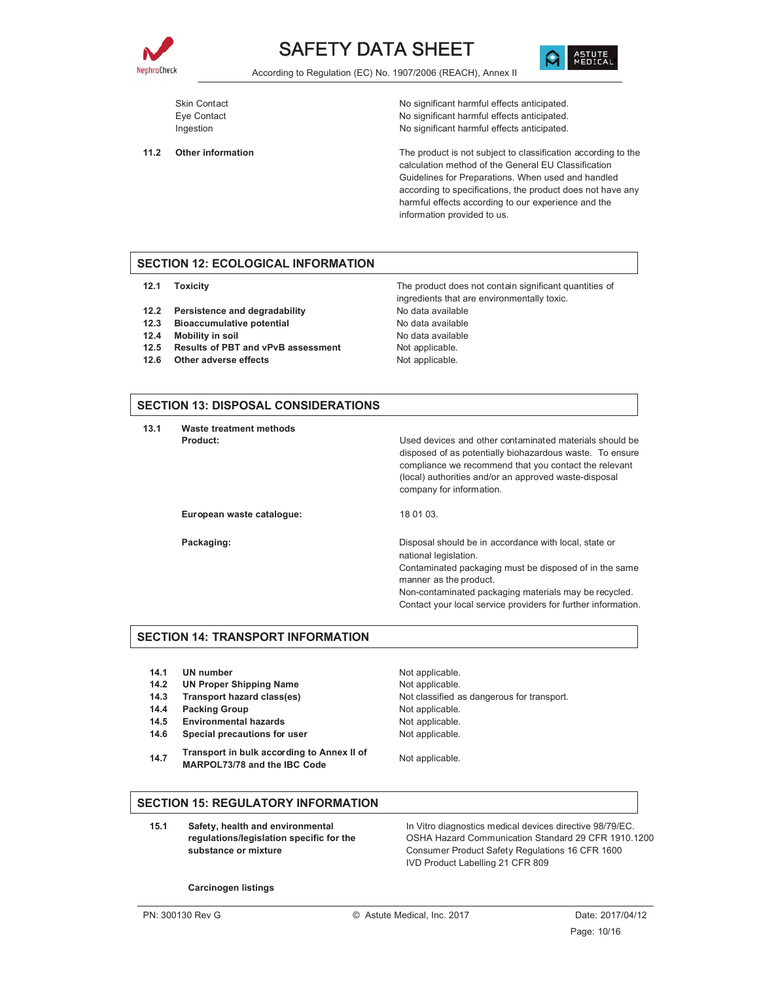



According to Regulation (EC) No. 1907/2006 (REACH), Annex II

Skin Contact Skin Contact Contact Contact Contact Contact Contact Contact Contact Contact Contact Contact Contact No significant harmful effects anticipated. Eye Contact **Exercise 2** No significant harmful effects anticipated. Ingestion **Ingestion** No significant harmful effects anticipated.

**11.2 Other information** The product is not subject to classification according to the calculation method of the General EU Classification Guidelines for Preparations. When used and handled according to specifications, the product does not have any harmful effects according to our experience and the information provided to us.

#### **SECTION 12: ECOLOGICAL INFORMATION**

- 
- **12.2 Persistence and degradability** No data available
- **12.3 Bioaccumulative potential Manual Constructs** No data available
- **12.4 Mobility in soil** No data available
- 12.5 Results of PBT and vPvB assessment Not applicable.
- **12.6 Other adverse effects** Not applicable.

**12.1 Toxicity** The product does not contain significant quantities of ingredients that are environmentally toxic.

#### **SECTION 13: DISPOSAL CONSIDERATIONS**

**13.1 Waste treatment methods**

**Product: Product: Product: Product: Product: Disease in the Used devices and other contaminated materials should be** disposed of as potentially biohazardous waste. To ensure compliance we recommend that you contact the relevant (local) authorities and/or an approved waste-disposal company for information.

European waste catalogue: 18 01 03.

**Packaging: Packaging: Packaging: Disposal should be in accordance with local, state or** national legislation.

> Contaminated packaging must be disposed of in the same manner as the product.

> Non-contaminated packaging materials may be recycled. Contact your local service providers for further information.

#### **SECTION 14: TRANSPORT INFORMATION**

- **14.1 UN number** Not applicable.
- **14.2 UN Proper Shipping Name** Not applicable.
- 
- **14.4 Packing Group Case Contract Contract Packing Group** Not applicable.
- 14.5 Environmental hazards Not applicable.
- 14.6 Special precautions for user **Not** applicable.
- **14.7 Transport in bulk according to Annex II of MARPOL73/78 and the IBC Code** MARPOL73/78 and the IBC Code

**14.3 Transport hazard class(es)** Not classified as dangerous for transport.

#### **SECTION 15: REGULATORY INFORMATION**

**15.1 Safety, health and environmental regulations/legislation specific for the substance or mixture**

In Vitro diagnostics medical devices directive 98/79/EC. OSHA Hazard Communication Standard 29 CFR 1910.1200 Consumer Product Safety Regulations 16 CFR 1600 IVD Product Labelling 21 CFR 809

**Carcinogen listings**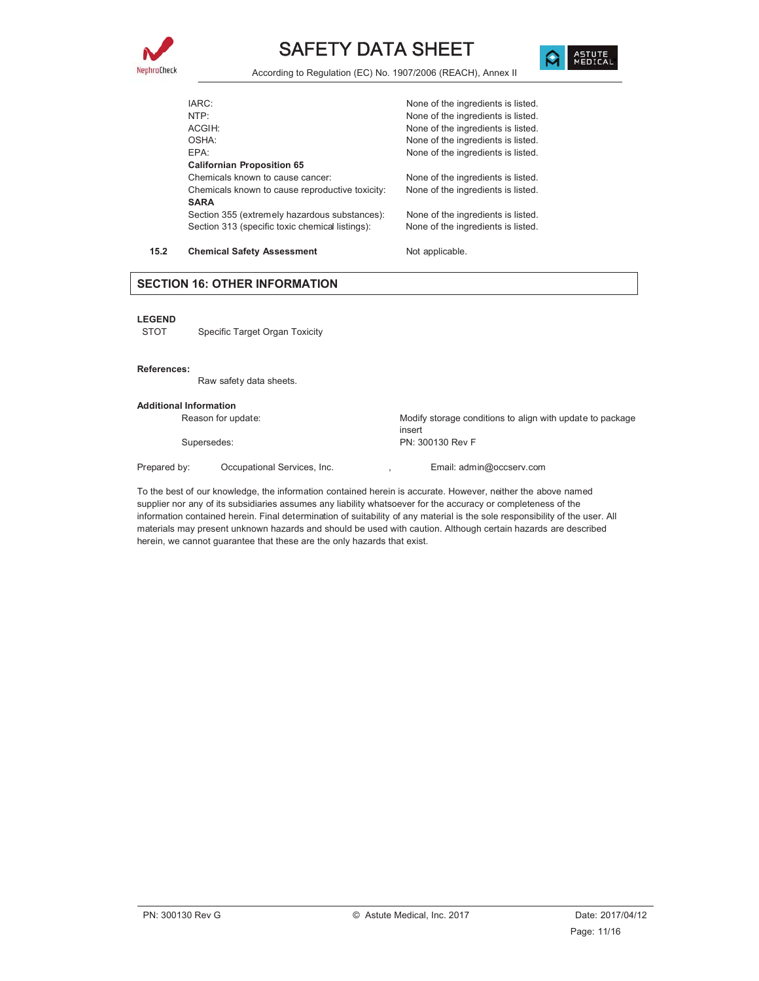



| 15.2 | <b>Chemical Safety Assessment</b>                            | Not applicable.                    |
|------|--------------------------------------------------------------|------------------------------------|
|      | Section 313 (specific toxic chemical listings):              | None of the ingredients is listed. |
|      | <b>SARA</b><br>Section 355 (extremely hazardous substances): | None of the ingredients is listed. |
|      | Chemicals known to cause reproductive toxicity:              | None of the ingredients is listed. |
|      | Chemicals known to cause cancer:                             | None of the ingredients is listed. |
|      | <b>Californian Proposition 65</b>                            |                                    |
|      | FPA <sup>.</sup>                                             | None of the ingredients is listed. |
|      | OSHA:                                                        | None of the ingredients is listed. |
|      | ACGIH:                                                       | None of the ingredients is listed. |
|      | NTP:                                                         | None of the ingredients is listed. |
|      | IARC:                                                        | None of the ingredients is listed. |
|      |                                                              |                                    |

#### **SECTION 16: OTHER INFORMATION**

#### **LEGEND**

STOT Specific Target Organ Toxicity

#### **References:**

Raw safety data sheets.

#### **Additional Information**

Reason for update: Modify storage conditions to align with update to package insert Supersedes: PN: 300130 Rev F Prepared by: Cocupational Services, Inc. (a) Final: admin@occserv.com

To the best of our knowledge, the information contained herein is accurate. However, neither the above named supplier nor any of its subsidiaries assumes any liability whatsoever for the accuracy or completeness of the information contained herein. Final determination of suitability of any material is the sole responsibility of the user. All materials may present unknown hazards and should be used with caution. Although certain hazards are described herein, we cannot guarantee that these are the only hazards that exist.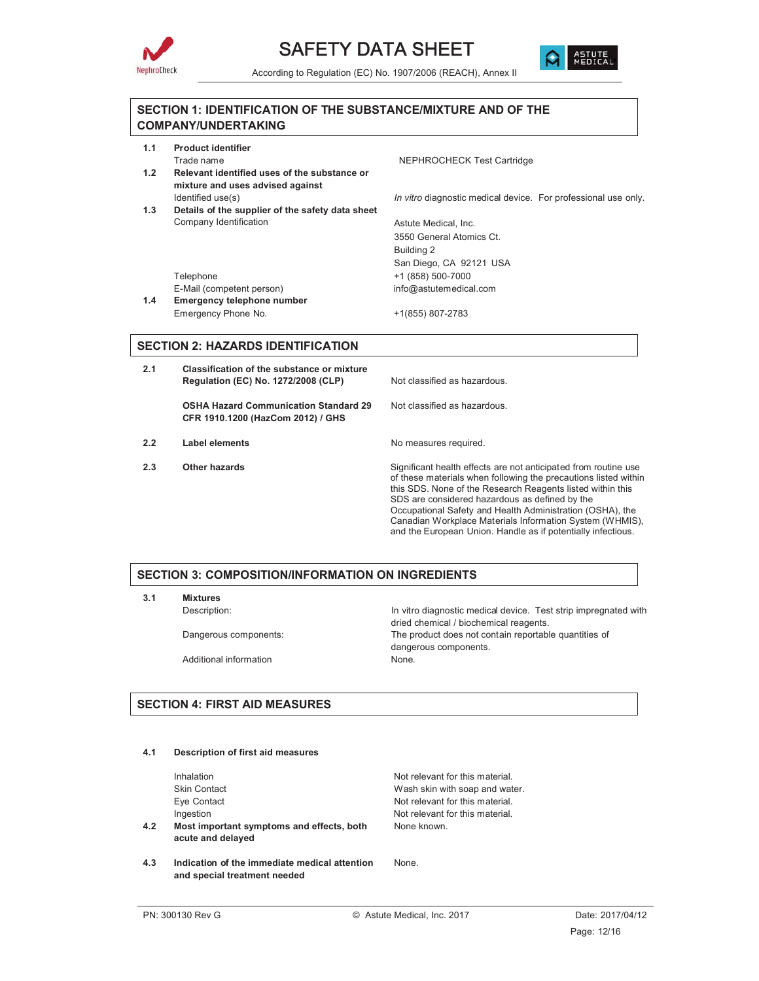



#### **SECTION 1: IDENTIFICATION OF THE SUBSTANCE/MIXTURE AND OF THE COMPANY/UNDERTAKING**

| 1.1                                      | <b>Product identifier</b>                        |                                                                |
|------------------------------------------|--------------------------------------------------|----------------------------------------------------------------|
|                                          | Trade name                                       | NEPHROCHECK Test Cartridge                                     |
| 1.2                                      | Relevant identified uses of the substance or     |                                                                |
|                                          | mixture and uses advised against                 |                                                                |
|                                          | Identified use(s)                                | In vitro diagnostic medical device. For professional use only. |
| 1.3                                      | Details of the supplier of the safety data sheet |                                                                |
|                                          | Company Identification                           | Astute Medical, Inc.                                           |
|                                          |                                                  | 3550 General Atomics Ct.                                       |
|                                          |                                                  | Building 2                                                     |
|                                          |                                                  | San Diego, CA 92121 USA                                        |
|                                          | Telephone                                        | +1 (858) 500-7000                                              |
|                                          | E-Mail (competent person)                        | info@astutemedical.com                                         |
| 1.4                                      | Emergency telephone number                       |                                                                |
|                                          | Emergency Phone No.                              | +1(855) 807-2783                                               |
|                                          |                                                  |                                                                |
|                                          |                                                  |                                                                |
| <b>SECTION 2: HAZARDS IDENTIFICATION</b> |                                                  |                                                                |

| 2.1 | Classification of the substance or mixture<br>Regulation (EC) No. 1272/2008 (CLP) | Not classified as hazardous. |
|-----|-----------------------------------------------------------------------------------|------------------------------|
|     | <b>OSHA Hazard Communication Standard 29</b><br>CFR 1910.1200 (HazCom 2012) / GHS | Not classified as hazardous. |
| 2.2 | Label elements                                                                    | No measures required.        |

**2.3** Other hazards **Significant health effects are not anticipated from routine use** of these materials when following the precautions listed within this SDS. None of the Research Reagents listed within this SDS are considered hazardous as defined by the Occupational Safety and Health Administration (OSHA), the Canadian Workplace Materials Information System (WHMIS), and the European Union. Handle as if potentially infectious.

#### **SECTION 3: COMPOSITION/INFORMATION ON INGREDIENTS**

**3.1 Mixtures**

Additional information None.

Description: **In vitro diagnostic medical device.** Test strip impregnated with dried chemical / biochemical reagents. Dangerous components: The product does not contain reportable quantities of dangerous components.

#### **SECTION 4: FIRST AID MEASURES**

#### **4.1 Description of first aid measures**

Inhalation **Inhalation** Not relevant for this material. Skin Contact Skin Contact Skin Wash skin with soap and water. Eye Contact **Not relevant for this material.** Ingestion Not relevant for this material. **4.2 Most important symptoms and effects, both acute and delayed** None known.

**4.3 Indication of the immediate medical attention and special treatment needed**

None.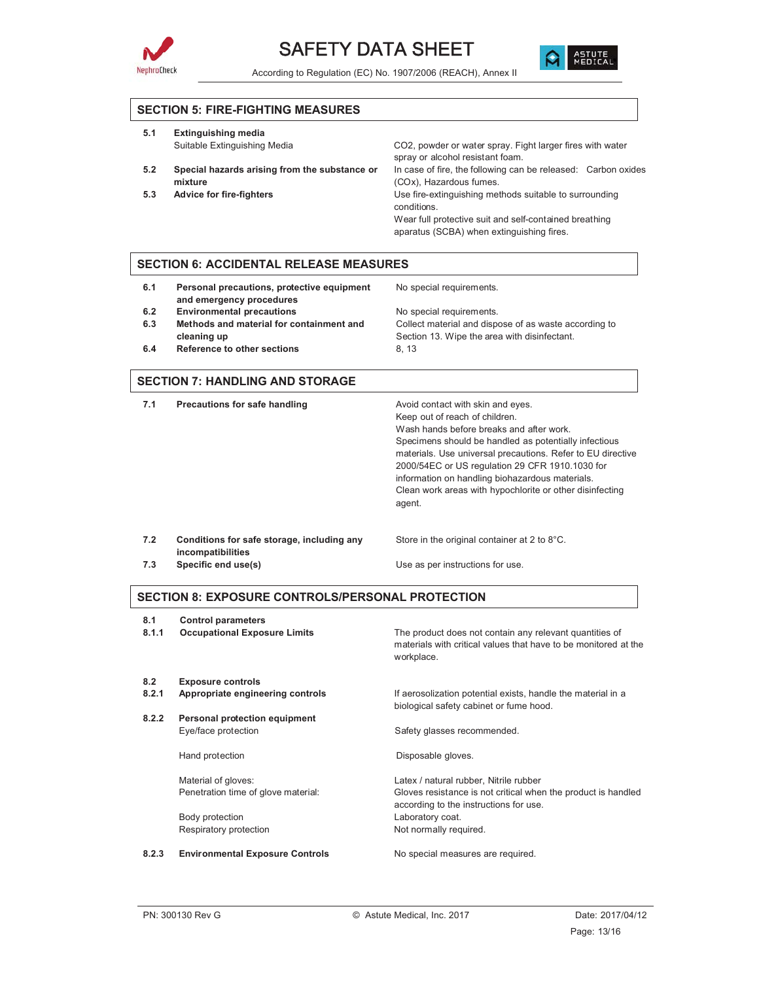



#### **SECTION 5: FIRE-FIGHTING MEASURES**

| 5.1 | <b>Extinguishing media</b>                               |                                                                                                                                 |
|-----|----------------------------------------------------------|---------------------------------------------------------------------------------------------------------------------------------|
|     | Suitable Extinguishing Media                             | CO2, powder or water spray. Fight larger fires with water<br>spray or alcohol resistant foam.                                   |
| 5.2 | Special hazards arising from the substance or<br>mixture | In case of fire, the following can be released: Carbon oxides<br>(COx), Hazardous fumes.                                        |
| 5.3 | <b>Advice for fire-fighters</b>                          | Use fire-extinguishing methods suitable to surrounding<br>conditions.<br>Wear full protective suit and self-contained breathing |
|     |                                                          | aparatus (SCBA) when extinguishing fires.                                                                                       |

#### **SECTION 6: ACCIDENTAL RELEASE MEASURES**

| 6.1 | Personal precautions, protective equipment<br>and emergency procedures | No special requirements.                              |
|-----|------------------------------------------------------------------------|-------------------------------------------------------|
| 6.2 | <b>Environmental precautions</b>                                       | No special requirements.                              |
| 6.3 | Methods and material for containment and                               | Collect material and dispose of as waste according to |
|     | cleaning up                                                            | Section 13. Wipe the area with disinfectant.          |
| 6.4 | Reference to other sections                                            | 8.13                                                  |

#### **SECTION 7: HANDLING AND STORAGE**

| 7.1 | Precautions for safe handling                                   | Avoid contact with skin and eyes.<br>Keep out of reach of children.<br>Wash hands before breaks and after work.<br>Specimens should be handled as potentially infectious<br>materials. Use universal precautions. Refer to EU directive<br>2000/54EC or US regulation 29 CFR 1910.1030 for<br>information on handling biohazardous materials.<br>Clean work areas with hypochlorite or other disinfecting<br>agent. |
|-----|-----------------------------------------------------------------|---------------------------------------------------------------------------------------------------------------------------------------------------------------------------------------------------------------------------------------------------------------------------------------------------------------------------------------------------------------------------------------------------------------------|
| 7.2 | Conditions for safe storage, including any<br>incompatibilities | Store in the original container at 2 to 8°C.                                                                                                                                                                                                                                                                                                                                                                        |
| 7.3 | Specific end use(s)                                             | Use as per instructions for use.                                                                                                                                                                                                                                                                                                                                                                                    |

#### **SECTION 8: EXPOSURE CONTROLS/PERSONAL PROTECTION**

| 8.1<br>8.1.1 | <b>Control parameters</b><br><b>Occupational Exposure Limits</b> | The product does not contain any relevant quantities of<br>materials with critical values that have to be monitored at the<br>workplace. |
|--------------|------------------------------------------------------------------|------------------------------------------------------------------------------------------------------------------------------------------|
| 8.2          | <b>Exposure controls</b>                                         |                                                                                                                                          |
| 8.2.1        | Appropriate engineering controls                                 | If aerosolization potential exists, handle the material in a<br>biological safety cabinet or fume hood.                                  |
| 8.2.2        | Personal protection equipment                                    |                                                                                                                                          |
|              | Eye/face protection                                              | Safety glasses recommended.                                                                                                              |
|              | Hand protection                                                  | Disposable gloves.                                                                                                                       |
|              | Material of gloves:                                              | Latex / natural rubber, Nitrile rubber                                                                                                   |
|              | Penetration time of glove material:                              | Gloves resistance is not critical when the product is handled<br>according to the instructions for use.                                  |
|              | Body protection                                                  | Laboratory coat.                                                                                                                         |
|              | Respiratory protection                                           | Not normally required.                                                                                                                   |
|              |                                                                  |                                                                                                                                          |

#### 8.2.3 **Environmental Exposure Controls** No special measures are required.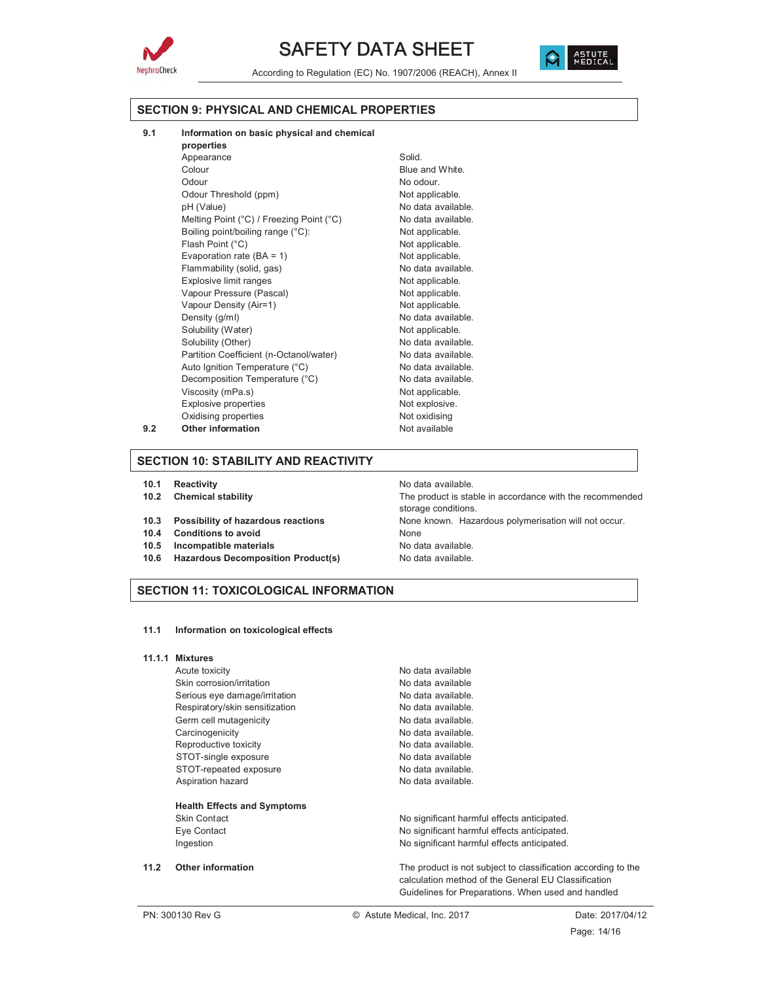



According to Regulation (EC) No. 1907/2006 (REACH), Annex II

#### **SECTION 9: PHYSICAL AND CHEMICAL PROPERTIES**

- **9.1 Information on basic physical and chemical**
- **properties** Appearance Solid. Colour **Blue and White.** Odour No odour. Odour Threshold (ppm) Not applicable. pH (Value) example a series of the No data available. Melting Point (°C) / Freezing Point (°C) No data available. Boiling point/boiling range (°C): Not applicable. Flash Point (°C) and the control of the Not applicable. Evaporation rate  $(BA = 1)$  Not applicable. Flammability (solid, gas) No data available. Explosive limit ranges Not applicable. Vapour Pressure (Pascal) Not applicable. Vapour Density (Air=1) Not applicable. Density (g/ml) No data available. Solubility (Water) Not applicable. Solubility (Other) No data available. Partition Coefficient (n-Octanol/water) No data available. Auto Ignition Temperature (°C) No data available. Decomposition Temperature (°C) No data available. Viscosity (mPa.s) Not applicable. Explosive properties Not explosive. Oxidising properties Not oxidising **9.2** Other information Not available

#### **SECTION 10: STABILITY AND REACTIVITY**

- **10.1 Reactivity 10.1** Reactivity
- 
- 
- **10.4 Conditions to avoid** None
- **10.5 Incompatible materials** No data available.
- **10.6 Hazardous Decomposition Product(s)** No data available.

**10.2 Chemical stability** The product is stable in accordance with the recommended storage conditions. **10.3 Possibility of hazardous reactions** None known. Hazardous polymerisation will not occur.

#### **SECTION 11: TOXICOLOGICAL INFORMATION**

**11.1 Information on toxicological effects**

#### **11.1.1 Mixtures**

Skin corrosion/irritation No data available Serious eye damage/irritation No data available. Respiratory/skin sensitization No data available. Germ cell mutagenicity example and the No data available. Carcinogenicity **No data available.** Reproductive toxicity No data available. STOT-single exposure No data available STOT-repeated exposure No data available. Aspiration hazard No data available.

#### **Health Effects and Symptoms**

# Acute toxicity **No observe that a set of the COV** No data available

Skin Contact **No significant harmful effects anticipated.** No significant harmful effects anticipated. Eye Contact **No significant harmful effects anticipated.** No significant harmful effects anticipated. Ingestion **Ingestion** No significant harmful effects anticipated.

**11.2 Other information** The product is not subject to classification according to the calculation method of the General EU Classification Guidelines for Preparations. When used and handled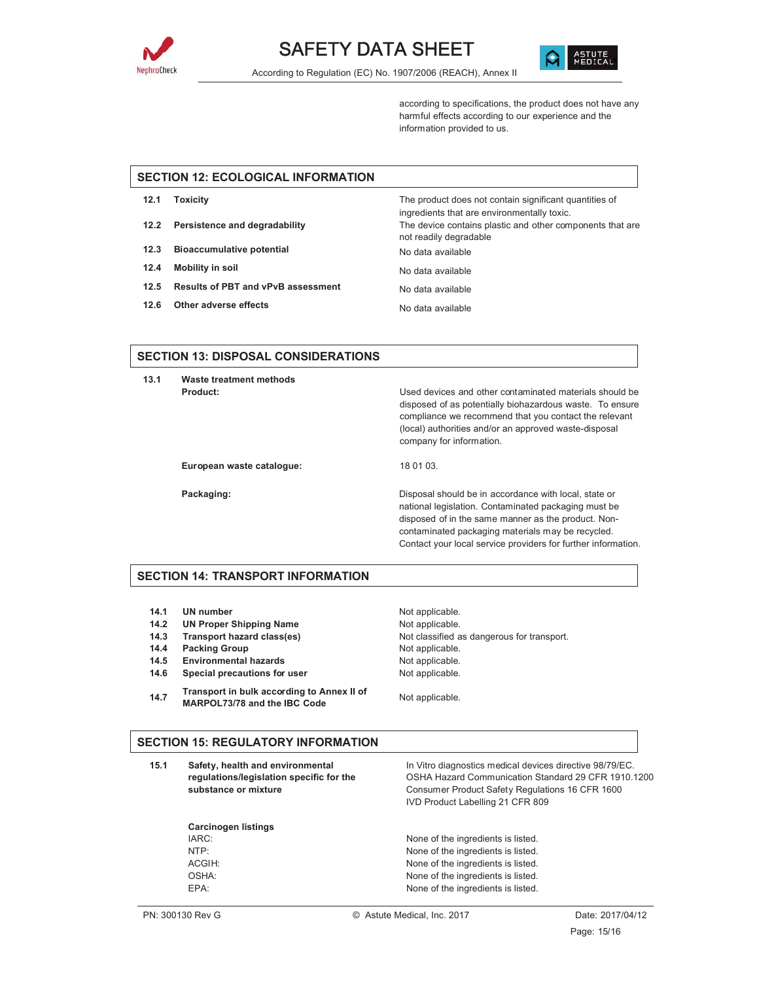



according to specifications, the product does not have any harmful effects according to our experience and the information provided to us.

### **SECTION 12: ECOLOGICAL INFORMATION**

| 12.1 | Toxicity                                | The product does not contain significant quantities of<br>ingredients that are environmentally toxic. |
|------|-----------------------------------------|-------------------------------------------------------------------------------------------------------|
|      | 12.2 Persistence and degradability      | The device contains plastic and other components that are<br>not readily degradable                   |
| 12.3 | Bioaccumulative potential               | No data available                                                                                     |
| 12.4 | Mobility in soil                        | No data available                                                                                     |
|      | 12.5 Results of PBT and vPvB assessment | No data available                                                                                     |
|      |                                         |                                                                                                       |

**12.6** Other adverse effects No data available

#### **SECTION 13: DISPOSAL CONSIDERATIONS**

**13.1 Waste treatment methods**

**Product:** Used devices and other contaminated materials should be disposed of as potentially biohazardous waste. To ensure compliance we recommend that you contact the relevant (local) authorities and/or an approved waste-disposal company for information.

European waste catalogue: 18 01 03.

**Packaging: Packaging: Packaging: Disposal should be in accordance with local, state or** national legislation. Contaminated packaging must be disposed of in the same manner as the product. Noncontaminated packaging materials may be recycled. Contact your local service providers for further information.

#### **SECTION 14: TRANSPORT INFORMATION**

- **14.1 UN number** Not applicable.
- 14.2 UN Proper Shipping Name Not applicable.
- 
- **14.4 Packing Group Case Contract Contract Packing Group** Not applicable.
- 14.5 **Environmental hazards** Not applicable.
- **14.6 Special precautions for user** Not applicable.

**Carcinogen listings**

**14.7 Transport in bulk according to Annex II of MARPOL73/78 and the IBC Code** Not applicable.

**14.3 Transport hazard class(es)** Not classified as dangerous for transport.

#### **SECTION 15: REGULATORY INFORMATION**

**15.1 Safety, health and environmental regulations/legislation specific for the substance or mixture** In Vitro diagnostics medical devices directive 98/79/EC. OSHA Hazard Communication Standard 29 CFR 1910.1200 Consumer Product Safety Regulations 16 CFR 1600 IVD Product Labelling 21 CFR 809

IARC: IARC: IARC: NTP: None of the ingredients is listed. ACGIH:  $\blacksquare$  None of the ingredients is listed. OSHA: None of the ingredients is listed. EPA: None of the ingredients is listed.